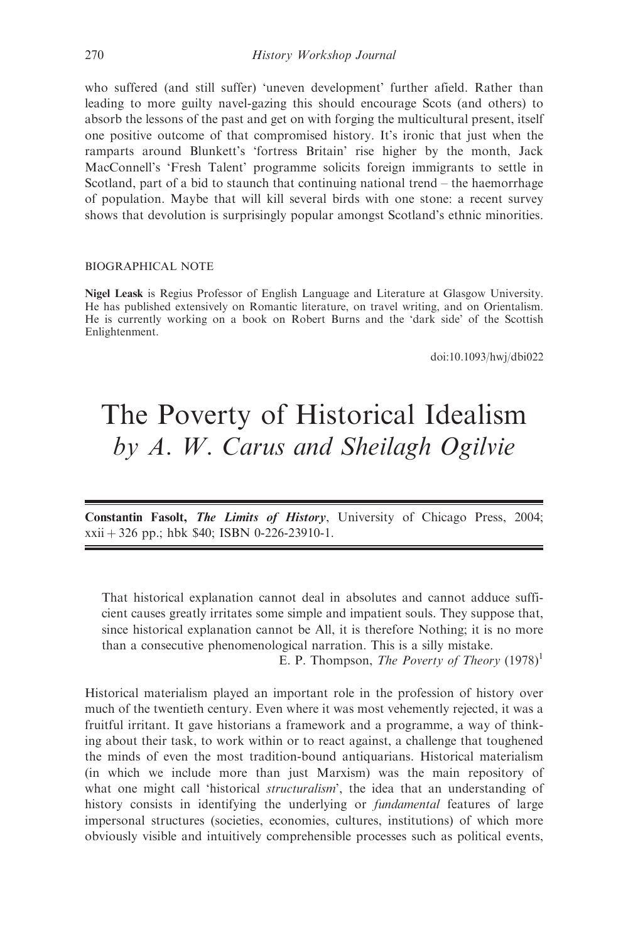who suffered (and still suffer) 'uneven development' further afield. Rather than leading to more guilty navel-gazing this should encourage Scots (and others) to absorb the lessons of the past and get on with forging the multicultural present, itself one positive outcome of that compromised history. It's ironic that just when the ramparts around Blunkett's 'fortress Britain' rise higher by the month, Jack MacConnell's 'Fresh Talent' programme solicits foreign immigrants to settle in Scotland, part of a bid to staunch that continuing national trend – the haemorrhage of population. Maybe that will kill several birds with one stone: a recent survey shows that devolution is surprisingly popular amongst Scotland's ethnic minorities.

#### BIOGRAPHICAL NOTE

Nigel Leask is Regius Professor of English Language and Literature at Glasgow University. He has published extensively on Romantic literature, on travel writing, and on Orientalism. He is currently working on a book on Robert Burns and the 'dark side' of the Scottish Enlightenment.

doi:10.1093/hwj/dbi022

# The Poverty of Historical Idealism by A. W. Carus and Sheilagh Ogilvie

Constantin Fasolt, The Limits of History, University of Chicago Press, 2004;  $xxi + 326$  pp.; hbk \$40; ISBN 0-226-23910-1.

That historical explanation cannot deal in absolutes and cannot adduce sufficient causes greatly irritates some simple and impatient souls. They suppose that, since historical explanation cannot be All, it is therefore Nothing; it is no more than a consecutive phenomenological narration. This is a silly mistake.

E. P. Thompson, The Poverty of Theory  $(1978)^1$ 

Historical materialism played an important role in the profession of history over much of the twentieth century. Even where it was most vehemently rejected, it was a fruitful irritant. It gave historians a framework and a programme, a way of thinking about their task, to work within or to react against, a challenge that toughened the minds of even the most tradition-bound antiquarians. Historical materialism (in which we include more than just Marxism) was the main repository of what one might call 'historical *structuralism*', the idea that an understanding of history consists in identifying the underlying or *fundamental* features of large impersonal structures (societies, economies, cultures, institutions) of which more obviously visible and intuitively comprehensible processes such as political events,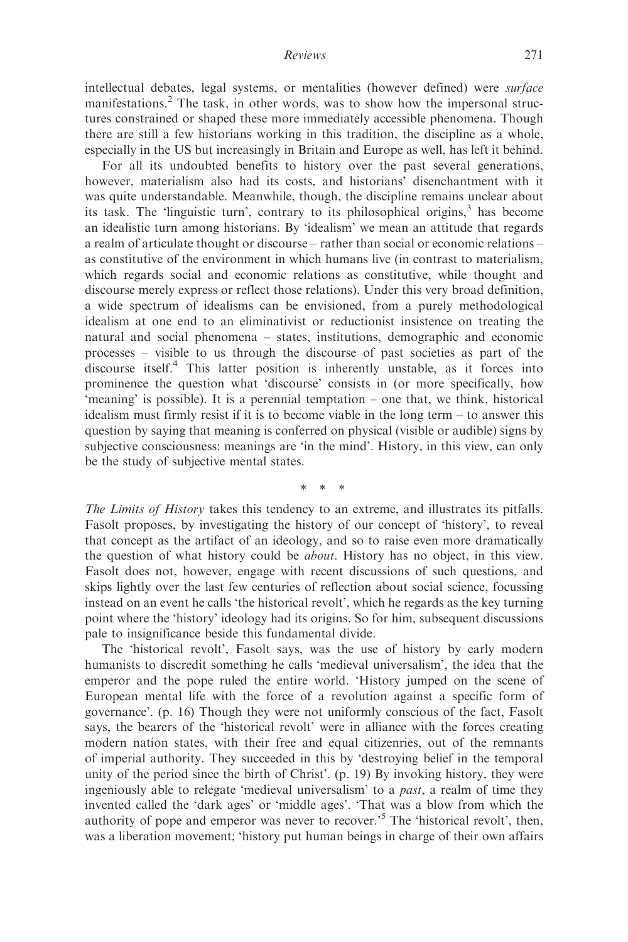intellectual debates, legal systems, or mentalities (however defined) were surface manifestations.<sup>2</sup> The task, in other words, was to show how the impersonal structures constrained or shaped these more immediately accessible phenomena. Though there are still a few historians working in this tradition, the discipline as a whole, especially in the US but increasingly in Britain and Europe as well, has left it behind.

For all its undoubted benefits to history over the past several generations, however, materialism also had its costs, and historians' disenchantment with it was quite understandable. Meanwhile, though, the discipline remains unclear about its task. The 'linguistic turn', contrary to its philosophical origins, $3$  has become an idealistic turn among historians. By 'idealism' we mean an attitude that regards a realm of articulate thought or discourse – rather than social or economic relations – as constitutive of the environment in which humans live (in contrast to materialism, which regards social and economic relations as constitutive, while thought and discourse merely express or reflect those relations). Under this very broad definition, a wide spectrum of idealisms can be envisioned, from a purely methodological idealism at one end to an eliminativist or reductionist insistence on treating the natural and social phenomena – states, institutions, demographic and economic processes – visible to us through the discourse of past societies as part of the discourse itself.<sup>4</sup> This latter position is inherently unstable, as it forces into prominence the question what 'discourse' consists in (or more specifically, how 'meaning' is possible). It is a perennial temptation – one that, we think, historical idealism must firmly resist if it is to become viable in the long term – to answer this question by saying that meaning is conferred on physical (visible or audible) signs by subjective consciousness: meanings are 'in the mind'. History, in this view, can only be the study of subjective mental states.

\*\*\*

The Limits of History takes this tendency to an extreme, and illustrates its pitfalls. Fasolt proposes, by investigating the history of our concept of 'history', to reveal that concept as the artifact of an ideology, and so to raise even more dramatically the question of what history could be about. History has no object, in this view. Fasolt does not, however, engage with recent discussions of such questions, and skips lightly over the last few centuries of reflection about social science, focussing instead on an event he calls 'the historical revolt', which he regards as the key turning point where the 'history' ideology had its origins. So for him, subsequent discussions pale to insignificance beside this fundamental divide.

The 'historical revolt', Fasolt says, was the use of history by early modern humanists to discredit something he calls 'medieval universalism', the idea that the emperor and the pope ruled the entire world. 'History jumped on the scene of European mental life with the force of a revolution against a specific form of governance'. (p. 16) Though they were not uniformly conscious of the fact, Fasolt says, the bearers of the 'historical revolt' were in alliance with the forces creating modern nation states, with their free and equal citizenries, out of the remnants of imperial authority. They succeeded in this by 'destroying belief in the temporal unity of the period since the birth of Christ'. (p. 19) By invoking history, they were ingeniously able to relegate 'medieval universalism' to a past, a realm of time they invented called the 'dark ages' or 'middle ages'. 'That was a blow from which the authority of pope and emperor was never to recover.<sup>5</sup> The 'historical revolt', then, was a liberation movement; 'history put human beings in charge of their own affairs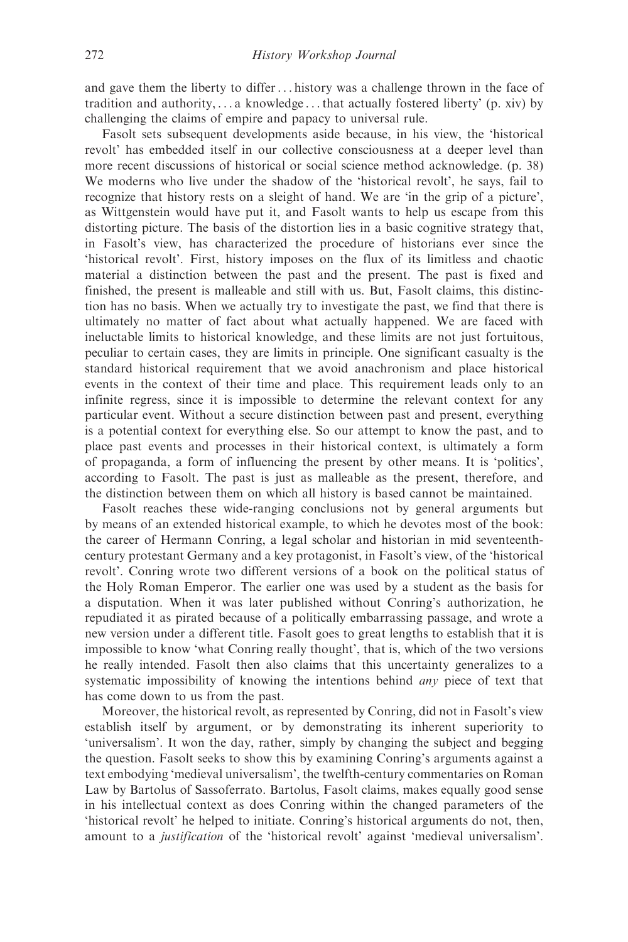and gave them the liberty to differ... history was a challenge thrown in the face of tradition and authority,  $\dots$  a knowledge  $\dots$  that actually fostered liberty' (p. xiv) by challenging the claims of empire and papacy to universal rule.

Fasolt sets subsequent developments aside because, in his view, the 'historical revolt' has embedded itself in our collective consciousness at a deeper level than more recent discussions of historical or social science method acknowledge. (p. 38) We moderns who live under the shadow of the 'historical revolt', he says, fail to recognize that history rests on a sleight of hand. We are 'in the grip of a picture', as Wittgenstein would have put it, and Fasolt wants to help us escape from this distorting picture. The basis of the distortion lies in a basic cognitive strategy that, in Fasolt's view, has characterized the procedure of historians ever since the 'historical revolt'. First, history imposes on the flux of its limitless and chaotic material a distinction between the past and the present. The past is fixed and finished, the present is malleable and still with us. But, Fasolt claims, this distinction has no basis. When we actually try to investigate the past, we find that there is ultimately no matter of fact about what actually happened. We are faced with ineluctable limits to historical knowledge, and these limits are not just fortuitous, peculiar to certain cases, they are limits in principle. One significant casualty is the standard historical requirement that we avoid anachronism and place historical events in the context of their time and place. This requirement leads only to an infinite regress, since it is impossible to determine the relevant context for any particular event. Without a secure distinction between past and present, everything is a potential context for everything else. So our attempt to know the past, and to place past events and processes in their historical context, is ultimately a form of propaganda, a form of influencing the present by other means. It is 'politics', according to Fasolt. The past is just as malleable as the present, therefore, and the distinction between them on which all history is based cannot be maintained.

Fasolt reaches these wide-ranging conclusions not by general arguments but by means of an extended historical example, to which he devotes most of the book: the career of Hermann Conring, a legal scholar and historian in mid seventeenthcentury protestant Germany and a key protagonist, in Fasolt's view, of the 'historical revolt'. Conring wrote two different versions of a book on the political status of the Holy Roman Emperor. The earlier one was used by a student as the basis for a disputation. When it was later published without Conring's authorization, he repudiated it as pirated because of a politically embarrassing passage, and wrote a new version under a different title. Fasolt goes to great lengths to establish that it is impossible to know 'what Conring really thought', that is, which of the two versions he really intended. Fasolt then also claims that this uncertainty generalizes to a systematic impossibility of knowing the intentions behind *any* piece of text that has come down to us from the past.

Moreover, the historical revolt, as represented by Conring, did not in Fasolt's view establish itself by argument, or by demonstrating its inherent superiority to 'universalism'. It won the day, rather, simply by changing the subject and begging the question. Fasolt seeks to show this by examining Conring's arguments against a text embodying 'medieval universalism', the twelfth-century commentaries on Roman Law by Bartolus of Sassoferrato. Bartolus, Fasolt claims, makes equally good sense in his intellectual context as does Conring within the changed parameters of the 'historical revolt' he helped to initiate. Conring's historical arguments do not, then, amount to a justification of the 'historical revolt' against 'medieval universalism'.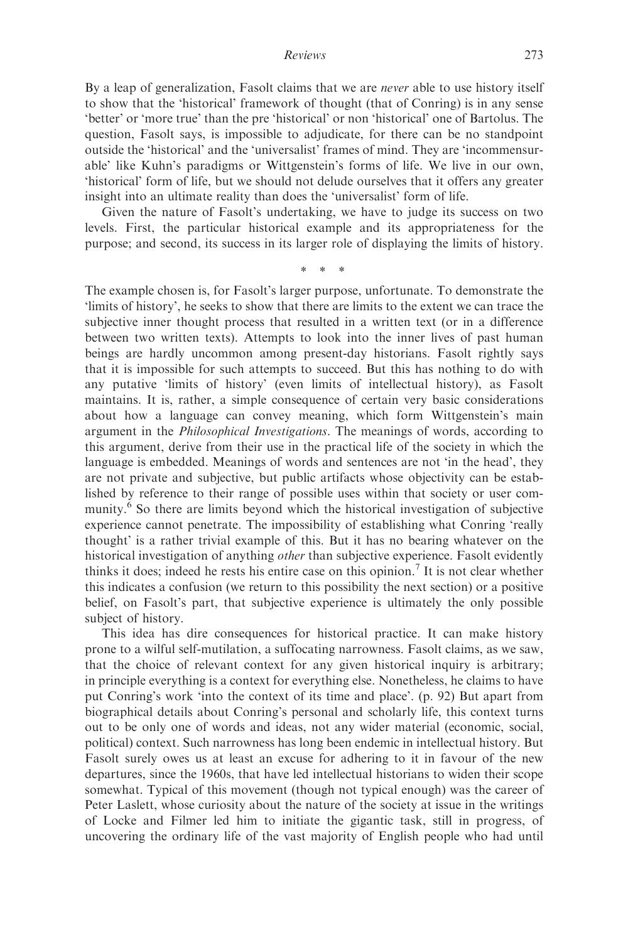By a leap of generalization, Fasolt claims that we are *never* able to use history itself to show that the 'historical' framework of thought (that of Conring) is in any sense 'better' or 'more true' than the pre 'historical' or non 'historical' one of Bartolus. The question, Fasolt says, is impossible to adjudicate, for there can be no standpoint outside the 'historical' and the 'universalist' frames of mind. They are 'incommensurable' like Kuhn's paradigms or Wittgenstein's forms of life. We live in our own, 'historical' form of life, but we should not delude ourselves that it offers any greater insight into an ultimate reality than does the 'universalist' form of life.

Given the nature of Fasolt's undertaking, we have to judge its success on two levels. First, the particular historical example and its appropriateness for the purpose; and second, its success in its larger role of displaying the limits of history.

\*\*\*

The example chosen is, for Fasolt's larger purpose, unfortunate. To demonstrate the 'limits of history', he seeks to show that there are limits to the extent we can trace the subjective inner thought process that resulted in a written text (or in a difference between two written texts). Attempts to look into the inner lives of past human beings are hardly uncommon among present-day historians. Fasolt rightly says that it is impossible for such attempts to succeed. But this has nothing to do with any putative 'limits of history' (even limits of intellectual history), as Fasolt maintains. It is, rather, a simple consequence of certain very basic considerations about how a language can convey meaning, which form Wittgenstein's main argument in the Philosophical Investigations. The meanings of words, according to this argument, derive from their use in the practical life of the society in which the language is embedded. Meanings of words and sentences are not 'in the head', they are not private and subjective, but public artifacts whose objectivity can be established by reference to their range of possible uses within that society or user community.<sup>6</sup> So there are limits beyond which the historical investigation of subjective experience cannot penetrate. The impossibility of establishing what Conring 'really thought' is a rather trivial example of this. But it has no bearing whatever on the historical investigation of anything *other* than subjective experience. Fasolt evidently thinks it does; indeed he rests his entire case on this opinion.<sup>7</sup> It is not clear whether this indicates a confusion (we return to this possibility the next section) or a positive belief, on Fasolt's part, that subjective experience is ultimately the only possible subject of history.

This idea has dire consequences for historical practice. It can make history prone to a wilful self-mutilation, a suffocating narrowness. Fasolt claims, as we saw, that the choice of relevant context for any given historical inquiry is arbitrary; in principle everything is a context for everything else. Nonetheless, he claims to have put Conring's work 'into the context of its time and place'. (p. 92) But apart from biographical details about Conring's personal and scholarly life, this context turns out to be only one of words and ideas, not any wider material (economic, social, political) context. Such narrowness has long been endemic in intellectual history. But Fasolt surely owes us at least an excuse for adhering to it in favour of the new departures, since the 1960s, that have led intellectual historians to widen their scope somewhat. Typical of this movement (though not typical enough) was the career of Peter Laslett, whose curiosity about the nature of the society at issue in the writings of Locke and Filmer led him to initiate the gigantic task, still in progress, of uncovering the ordinary life of the vast majority of English people who had until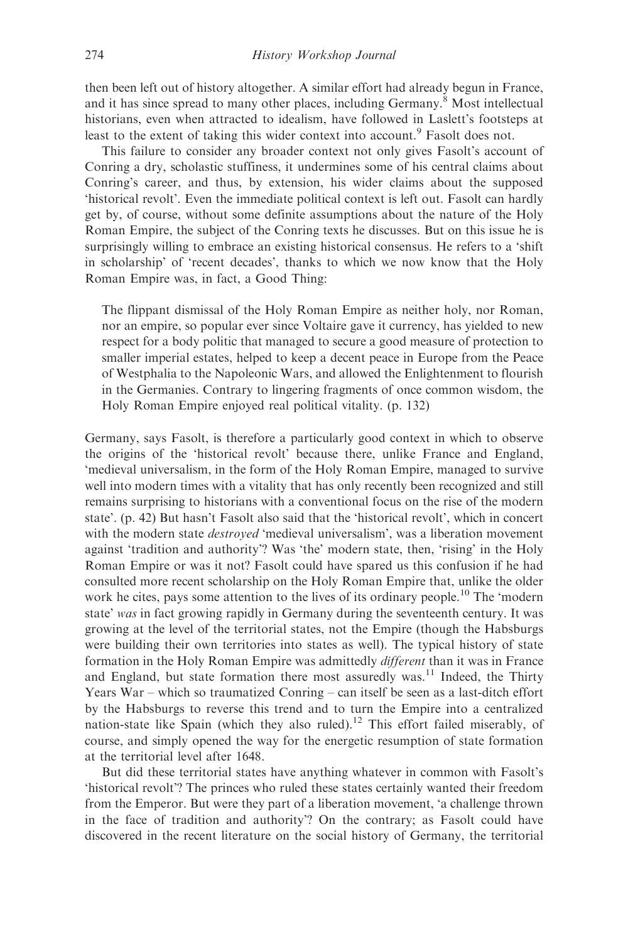then been left out of history altogether. A similar effort had already begun in France, and it has since spread to many other places, including Germany.<sup>8</sup> Most intellectual historians, even when attracted to idealism, have followed in Laslett's footsteps at least to the extent of taking this wider context into account.<sup>9</sup> Fasolt does not.

This failure to consider any broader context not only gives Fasolt's account of Conring a dry, scholastic stuffiness, it undermines some of his central claims about Conring's career, and thus, by extension, his wider claims about the supposed 'historical revolt'. Even the immediate political context is left out. Fasolt can hardly get by, of course, without some definite assumptions about the nature of the Holy Roman Empire, the subject of the Conring texts he discusses. But on this issue he is surprisingly willing to embrace an existing historical consensus. He refers to a 'shift in scholarship' of 'recent decades', thanks to which we now know that the Holy Roman Empire was, in fact, a Good Thing:

The flippant dismissal of the Holy Roman Empire as neither holy, nor Roman, nor an empire, so popular ever since Voltaire gave it currency, has yielded to new respect for a body politic that managed to secure a good measure of protection to smaller imperial estates, helped to keep a decent peace in Europe from the Peace of Westphalia to the Napoleonic Wars, and allowed the Enlightenment to flourish in the Germanies. Contrary to lingering fragments of once common wisdom, the Holy Roman Empire enjoyed real political vitality. (p. 132)

Germany, says Fasolt, is therefore a particularly good context in which to observe the origins of the 'historical revolt' because there, unlike France and England, 'medieval universalism, in the form of the Holy Roman Empire, managed to survive well into modern times with a vitality that has only recently been recognized and still remains surprising to historians with a conventional focus on the rise of the modern state'. (p. 42) But hasn't Fasolt also said that the 'historical revolt', which in concert with the modern state *destroyed* 'medieval universalism', was a liberation movement against 'tradition and authority'? Was 'the' modern state, then, 'rising' in the Holy Roman Empire or was it not? Fasolt could have spared us this confusion if he had consulted more recent scholarship on the Holy Roman Empire that, unlike the older work he cites, pays some attention to the lives of its ordinary people.<sup>10</sup> The 'modern state' was in fact growing rapidly in Germany during the seventeenth century. It was growing at the level of the territorial states, not the Empire (though the Habsburgs were building their own territories into states as well). The typical history of state formation in the Holy Roman Empire was admittedly different than it was in France and England, but state formation there most assuredly was.<sup>11</sup> Indeed, the Thirty Years War – which so traumatized Conring – can itself be seen as a last-ditch effort by the Habsburgs to reverse this trend and to turn the Empire into a centralized nation-state like Spain (which they also ruled).<sup>12</sup> This effort failed miserably, of course, and simply opened the way for the energetic resumption of state formation at the territorial level after 1648.

But did these territorial states have anything whatever in common with Fasolt's 'historical revolt'? The princes who ruled these states certainly wanted their freedom from the Emperor. But were they part of a liberation movement, 'a challenge thrown in the face of tradition and authority'? On the contrary; as Fasolt could have discovered in the recent literature on the social history of Germany, the territorial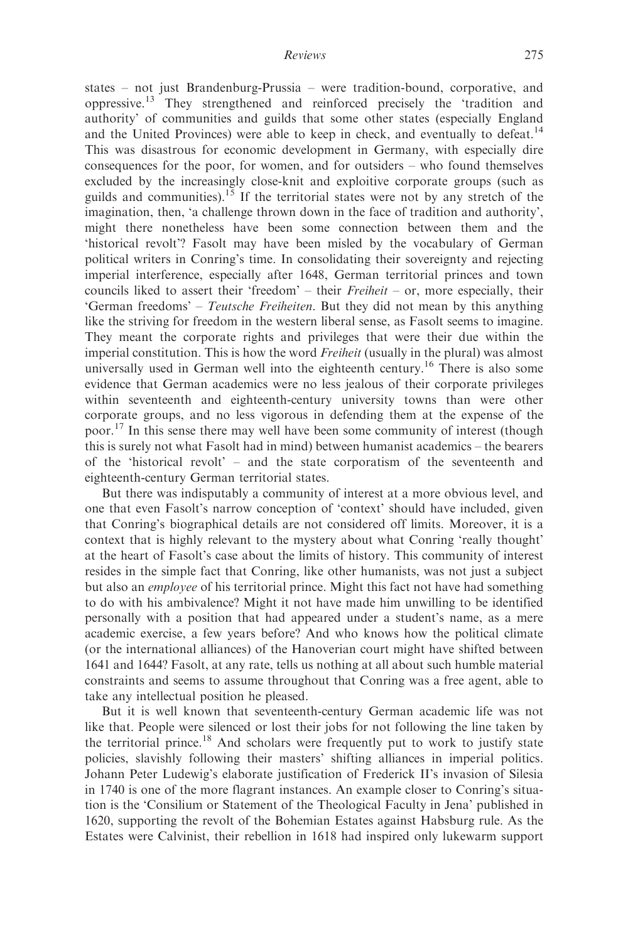states – not just Brandenburg-Prussia – were tradition-bound, corporative, and oppressive.<sup>13</sup> They strengthened and reinforced precisely the 'tradition and authority' of communities and guilds that some other states (especially England and the United Provinces) were able to keep in check, and eventually to defeat.<sup>14</sup> This was disastrous for economic development in Germany, with especially dire consequences for the poor, for women, and for outsiders – who found themselves excluded by the increasingly close-knit and exploitive corporate groups (such as guilds and communities).<sup>15</sup> If the territorial states were not by any stretch of the imagination, then, 'a challenge thrown down in the face of tradition and authority', might there nonetheless have been some connection between them and the 'historical revolt'? Fasolt may have been misled by the vocabulary of German political writers in Conring's time. In consolidating their sovereignty and rejecting imperial interference, especially after 1648, German territorial princes and town councils liked to assert their 'freedom' – their  $Freiheit$  – or, more especially, their 'German freedoms' – Teutsche Freiheiten. But they did not mean by this anything like the striving for freedom in the western liberal sense, as Fasolt seems to imagine. They meant the corporate rights and privileges that were their due within the imperial constitution. This is how the word *Freiheit* (usually in the plural) was almost universally used in German well into the eighteenth century.<sup>16</sup> There is also some evidence that German academics were no less jealous of their corporate privileges within seventeenth and eighteenth-century university towns than were other corporate groups, and no less vigorous in defending them at the expense of the poor.<sup>17</sup> In this sense there may well have been some community of interest (though this is surely not what Fasolt had in mind) between humanist academics – the bearers of the 'historical revolt' – and the state corporatism of the seventeenth and eighteenth-century German territorial states.

But there was indisputably a community of interest at a more obvious level, and one that even Fasolt's narrow conception of 'context' should have included, given that Conring's biographical details are not considered off limits. Moreover, it is a context that is highly relevant to the mystery about what Conring 'really thought' at the heart of Fasolt's case about the limits of history. This community of interest resides in the simple fact that Conring, like other humanists, was not just a subject but also an employee of his territorial prince. Might this fact not have had something to do with his ambivalence? Might it not have made him unwilling to be identified personally with a position that had appeared under a student's name, as a mere academic exercise, a few years before? And who knows how the political climate (or the international alliances) of the Hanoverian court might have shifted between 1641 and 1644? Fasolt, at any rate, tells us nothing at all about such humble material constraints and seems to assume throughout that Conring was a free agent, able to take any intellectual position he pleased.

But it is well known that seventeenth-century German academic life was not like that. People were silenced or lost their jobs for not following the line taken by the territorial prince.<sup>18</sup> And scholars were frequently put to work to justify state policies, slavishly following their masters' shifting alliances in imperial politics. Johann Peter Ludewig's elaborate justification of Frederick II's invasion of Silesia in 1740 is one of the more flagrant instances. An example closer to Conring's situation is the 'Consilium or Statement of the Theological Faculty in Jena' published in 1620, supporting the revolt of the Bohemian Estates against Habsburg rule. As the Estates were Calvinist, their rebellion in 1618 had inspired only lukewarm support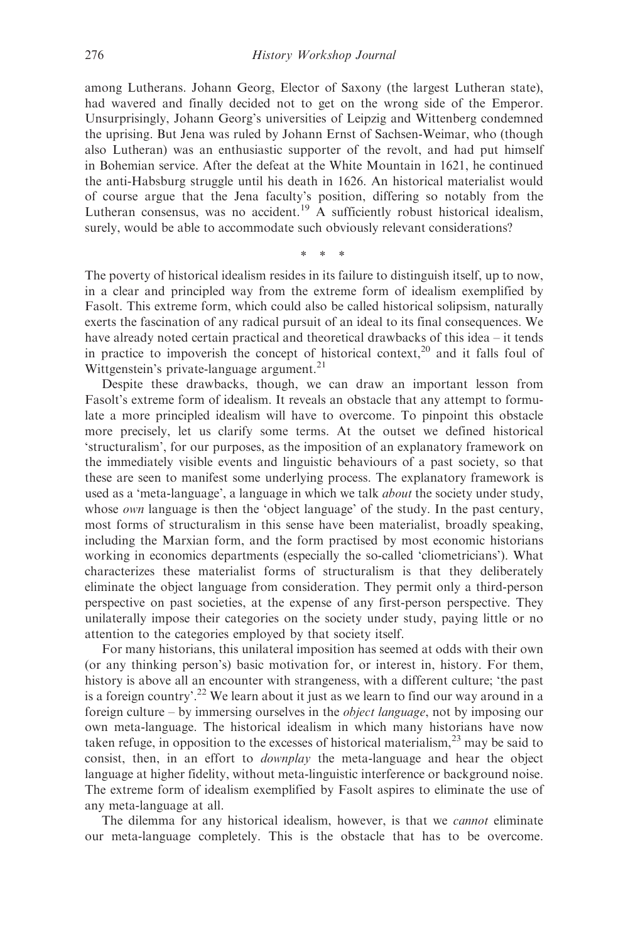among Lutherans. Johann Georg, Elector of Saxony (the largest Lutheran state), had wavered and finally decided not to get on the wrong side of the Emperor. Unsurprisingly, Johann Georg's universities of Leipzig and Wittenberg condemned the uprising. But Jena was ruled by Johann Ernst of Sachsen-Weimar, who (though also Lutheran) was an enthusiastic supporter of the revolt, and had put himself in Bohemian service. After the defeat at the White Mountain in 1621, he continued the anti-Habsburg struggle until his death in 1626. An historical materialist would of course argue that the Jena faculty's position, differing so notably from the Lutheran consensus, was no accident.<sup>19</sup> A sufficiently robust historical idealism, surely, would be able to accommodate such obviously relevant considerations?

\*\*\*

The poverty of historical idealism resides in its failure to distinguish itself, up to now, in a clear and principled way from the extreme form of idealism exemplified by Fasolt. This extreme form, which could also be called historical solipsism, naturally exerts the fascination of any radical pursuit of an ideal to its final consequences. We have already noted certain practical and theoretical drawbacks of this idea – it tends in practice to impoverish the concept of historical context,<sup>20</sup> and it falls foul of Wittgenstein's private-language argument.<sup>21</sup>

Despite these drawbacks, though, we can draw an important lesson from Fasolt's extreme form of idealism. It reveals an obstacle that any attempt to formulate a more principled idealism will have to overcome. To pinpoint this obstacle more precisely, let us clarify some terms. At the outset we defined historical 'structuralism', for our purposes, as the imposition of an explanatory framework on the immediately visible events and linguistic behaviours of a past society, so that these are seen to manifest some underlying process. The explanatory framework is used as a 'meta-language', a language in which we talk *about* the society under study, whose *own* language is then the 'object language' of the study. In the past century, most forms of structuralism in this sense have been materialist, broadly speaking, including the Marxian form, and the form practised by most economic historians working in economics departments (especially the so-called 'cliometricians'). What characterizes these materialist forms of structuralism is that they deliberately eliminate the object language from consideration. They permit only a third-person perspective on past societies, at the expense of any first-person perspective. They unilaterally impose their categories on the society under study, paying little or no attention to the categories employed by that society itself.

For many historians, this unilateral imposition has seemed at odds with their own (or any thinking person's) basic motivation for, or interest in, history. For them, history is above all an encounter with strangeness, with a different culture; 'the past is a foreign country'.<sup>22</sup> We learn about it just as we learn to find our way around in a foreign culture – by immersing ourselves in the object language, not by imposing our own meta-language. The historical idealism in which many historians have now taken refuge, in opposition to the excesses of historical materialism,  $^{23}$  may be said to consist, then, in an effort to downplay the meta-language and hear the object language at higher fidelity, without meta-linguistic interference or background noise. The extreme form of idealism exemplified by Fasolt aspires to eliminate the use of any meta-language at all.

The dilemma for any historical idealism, however, is that we *cannot* eliminate our meta-language completely. This is the obstacle that has to be overcome.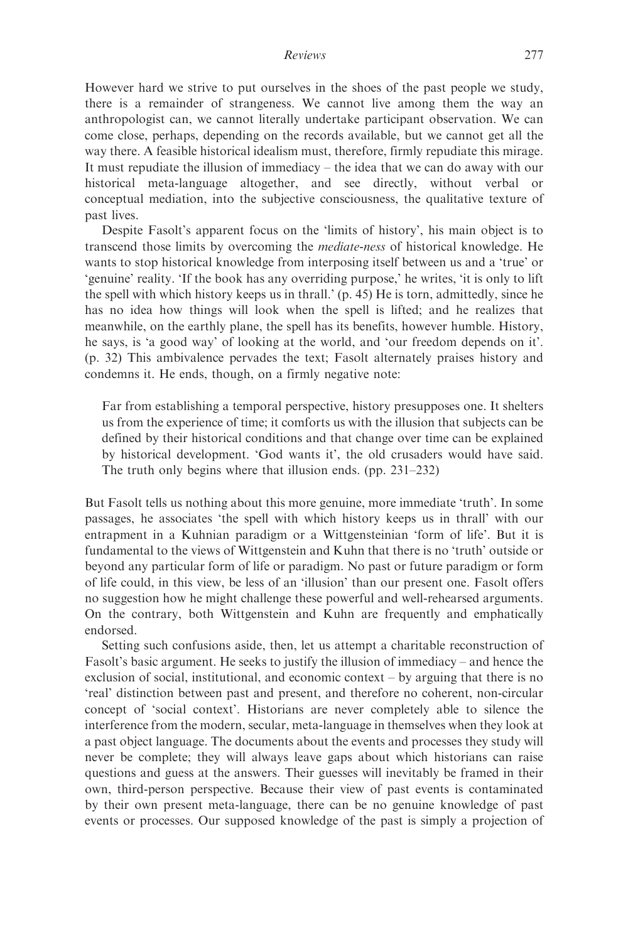However hard we strive to put ourselves in the shoes of the past people we study, there is a remainder of strangeness. We cannot live among them the way an anthropologist can, we cannot literally undertake participant observation. We can come close, perhaps, depending on the records available, but we cannot get all the way there. A feasible historical idealism must, therefore, firmly repudiate this mirage. It must repudiate the illusion of immediacy – the idea that we can do away with our historical meta-language altogether, and see directly, without verbal or conceptual mediation, into the subjective consciousness, the qualitative texture of past lives.

Despite Fasolt's apparent focus on the 'limits of history', his main object is to transcend those limits by overcoming the mediate-ness of historical knowledge. He wants to stop historical knowledge from interposing itself between us and a 'true' or 'genuine' reality. 'If the book has any overriding purpose,' he writes, 'it is only to lift the spell with which history keeps us in thrall.' (p. 45) He is torn, admittedly, since he has no idea how things will look when the spell is lifted; and he realizes that meanwhile, on the earthly plane, the spell has its benefits, however humble. History, he says, is 'a good way' of looking at the world, and 'our freedom depends on it'. (p. 32) This ambivalence pervades the text; Fasolt alternately praises history and condemns it. He ends, though, on a firmly negative note:

Far from establishing a temporal perspective, history presupposes one. It shelters us from the experience of time; it comforts us with the illusion that subjects can be defined by their historical conditions and that change over time can be explained by historical development. 'God wants it', the old crusaders would have said. The truth only begins where that illusion ends. (pp. 231–232)

But Fasolt tells us nothing about this more genuine, more immediate 'truth'. In some passages, he associates 'the spell with which history keeps us in thrall' with our entrapment in a Kuhnian paradigm or a Wittgensteinian 'form of life'. But it is fundamental to the views of Wittgenstein and Kuhn that there is no 'truth' outside or beyond any particular form of life or paradigm. No past or future paradigm or form of life could, in this view, be less of an 'illusion' than our present one. Fasolt offers no suggestion how he might challenge these powerful and well-rehearsed arguments. On the contrary, both Wittgenstein and Kuhn are frequently and emphatically endorsed.

Setting such confusions aside, then, let us attempt a charitable reconstruction of Fasolt's basic argument. He seeks to justify the illusion of immediacy – and hence the exclusion of social, institutional, and economic context – by arguing that there is no 'real' distinction between past and present, and therefore no coherent, non-circular concept of 'social context'. Historians are never completely able to silence the interference from the modern, secular, meta-language in themselves when they look at a past object language. The documents about the events and processes they study will never be complete; they will always leave gaps about which historians can raise questions and guess at the answers. Their guesses will inevitably be framed in their own, third-person perspective. Because their view of past events is contaminated by their own present meta-language, there can be no genuine knowledge of past events or processes. Our supposed knowledge of the past is simply a projection of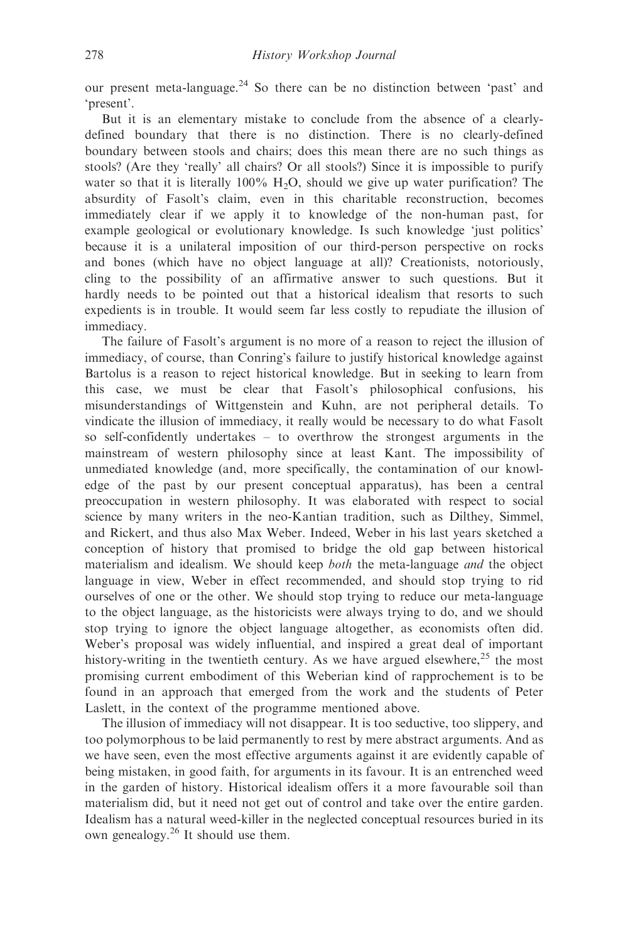our present meta-language.<sup>24</sup> So there can be no distinction between 'past' and 'present'.

But it is an elementary mistake to conclude from the absence of a clearlydefined boundary that there is no distinction. There is no clearly-defined boundary between stools and chairs; does this mean there are no such things as stools? (Are they 'really' all chairs? Or all stools?) Since it is impossible to purify water so that it is literally  $100\%$  H<sub>2</sub>O, should we give up water purification? The absurdity of Fasolt's claim, even in this charitable reconstruction, becomes immediately clear if we apply it to knowledge of the non-human past, for example geological or evolutionary knowledge. Is such knowledge 'just politics' because it is a unilateral imposition of our third-person perspective on rocks and bones (which have no object language at all)? Creationists, notoriously, cling to the possibility of an affirmative answer to such questions. But it hardly needs to be pointed out that a historical idealism that resorts to such expedients is in trouble. It would seem far less costly to repudiate the illusion of immediacy.

The failure of Fasolt's argument is no more of a reason to reject the illusion of immediacy, of course, than Conring's failure to justify historical knowledge against Bartolus is a reason to reject historical knowledge. But in seeking to learn from this case, we must be clear that Fasolt's philosophical confusions, his misunderstandings of Wittgenstein and Kuhn, are not peripheral details. To vindicate the illusion of immediacy, it really would be necessary to do what Fasolt so self-confidently undertakes – to overthrow the strongest arguments in the mainstream of western philosophy since at least Kant. The impossibility of unmediated knowledge (and, more specifically, the contamination of our knowledge of the past by our present conceptual apparatus), has been a central preoccupation in western philosophy. It was elaborated with respect to social science by many writers in the neo-Kantian tradition, such as Dilthey, Simmel, and Rickert, and thus also Max Weber. Indeed, Weber in his last years sketched a conception of history that promised to bridge the old gap between historical materialism and idealism. We should keep both the meta-language and the object language in view, Weber in effect recommended, and should stop trying to rid ourselves of one or the other. We should stop trying to reduce our meta-language to the object language, as the historicists were always trying to do, and we should stop trying to ignore the object language altogether, as economists often did. Weber's proposal was widely influential, and inspired a great deal of important history-writing in the twentieth century. As we have argued elsewhere,  $2^5$  the most promising current embodiment of this Weberian kind of rapprochement is to be found in an approach that emerged from the work and the students of Peter Laslett, in the context of the programme mentioned above.

The illusion of immediacy will not disappear. It is too seductive, too slippery, and too polymorphous to be laid permanently to rest by mere abstract arguments. And as we have seen, even the most effective arguments against it are evidently capable of being mistaken, in good faith, for arguments in its favour. It is an entrenched weed in the garden of history. Historical idealism offers it a more favourable soil than materialism did, but it need not get out of control and take over the entire garden. Idealism has a natural weed-killer in the neglected conceptual resources buried in its own genealogy.<sup>26</sup> It should use them.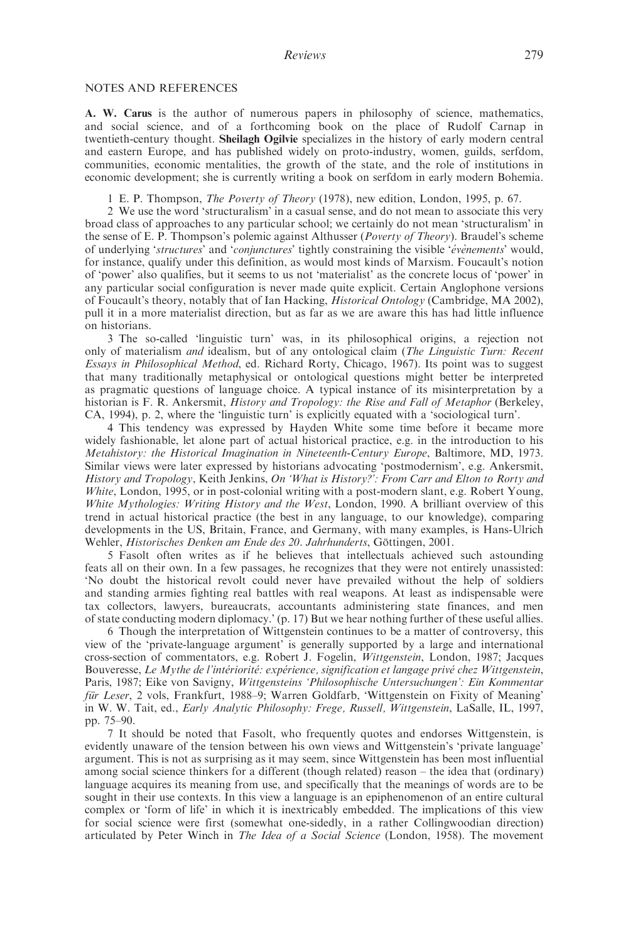#### NOTES AND REFERENCES

A. W. Carus is the author of numerous papers in philosophy of science, mathematics, and social science, and of a forthcoming book on the place of Rudolf Carnap in twentieth-century thought. Sheilagh Ogilvie specializes in the history of early modern central and eastern Europe, and has published widely on proto-industry, women, guilds, serfdom, communities, economic mentalities, the growth of the state, and the role of institutions in economic development; she is currently writing a book on serfdom in early modern Bohemia.

1 E. P. Thompson, The Poverty of Theory (1978), new edition, London, 1995, p. 67.

2 We use the word 'structuralism' in a casual sense, and do not mean to associate this very broad class of approaches to any particular school; we certainly do not mean 'structuralism' in the sense of E. P. Thompson's polemic against Althusser (Poverty of Theory). Braudel's scheme of underlying 'structures' and 'conjunctures' tightly constraining the visible 'évènements' would, for instance, qualify under this definition, as would most kinds of Marxism. Foucault's notion of 'power' also qualifies, but it seems to us not 'materialist' as the concrete locus of 'power' in any particular social configuration is never made quite explicit. Certain Anglophone versions of Foucault's theory, notably that of Ian Hacking, Historical Ontology (Cambridge, MA 2002), pull it in a more materialist direction, but as far as we are aware this has had little influence on historians.

3 The so-called 'linguistic turn' was, in its philosophical origins, a rejection not only of materialism and idealism, but of any ontological claim (The Linguistic Turn: Recent Essays in Philosophical Method, ed. Richard Rorty, Chicago, 1967). Its point was to suggest that many traditionally metaphysical or ontological questions might better be interpreted as pragmatic questions of language choice. A typical instance of its misinterpretation by a historian is F. R. Ankersmit, History and Tropology: the Rise and Fall of Metaphor (Berkeley, CA, 1994), p. 2, where the 'linguistic turn' is explicitly equated with a 'sociological turn'.

4 This tendency was expressed by Hayden White some time before it became more widely fashionable, let alone part of actual historical practice, e.g. in the introduction to his Metahistory: the Historical Imagination in Nineteenth-Century Europe, Baltimore, MD, 1973. Similar views were later expressed by historians advocating 'postmodernism', e.g. Ankersmit, History and Tropology, Keith Jenkins, On 'What is History?': From Carr and Elton to Rorty and White, London, 1995, or in post-colonial writing with a post-modern slant, e.g. Robert Young, White Mythologies: Writing History and the West, London, 1990. A brilliant overview of this trend in actual historical practice (the best in any language, to our knowledge), comparing developments in the US, Britain, France, and Germany, with many examples, is Hans-Ulrich Wehler, Historisches Denken am Ende des 20. Jahrhunderts, Göttingen, 2001.

5 Fasolt often writes as if he believes that intellectuals achieved such astounding feats all on their own. In a few passages, he recognizes that they were not entirely unassisted: 'No doubt the historical revolt could never have prevailed without the help of soldiers and standing armies fighting real battles with real weapons. At least as indispensable were tax collectors, lawyers, bureaucrats, accountants administering state finances, and men of state conducting modern diplomacy.' (p. 17) But we hear nothing further of these useful allies.

6 Though the interpretation of Wittgenstein continues to be a matter of controversy, this view of the 'private-language argument' is generally supported by a large and international cross-section of commentators, e.g. Robert J. Fogelin, Wittgenstein, London, 1987; Jacques Bouveresse, Le Mythe de l'intériorité: expérience, signification et langage privé chez Wittgenstein, Paris, 1987; Eike von Savigny, Wittgensteins 'Philosophische Untersuchungen': Ein Kommentar für Leser, 2 vols, Frankfurt, 1988–9; Warren Goldfarb, 'Wittgenstein on Fixity of Meaning' in W. W. Tait, ed., Early Analytic Philosophy: Frege, Russell, Wittgenstein, LaSalle, IL, 1997, pp. 75–90.

7 It should be noted that Fasolt, who frequently quotes and endorses Wittgenstein, is evidently unaware of the tension between his own views and Wittgenstein's 'private language' argument. This is not as surprising as it may seem, since Wittgenstein has been most influential among social science thinkers for a different (though related) reason – the idea that (ordinary) language acquires its meaning from use, and specifically that the meanings of words are to be sought in their use contexts. In this view a language is an epiphenomenon of an entire cultural complex or 'form of life' in which it is inextricably embedded. The implications of this view for social science were first (somewhat one-sidedly, in a rather Collingwoodian direction) articulated by Peter Winch in The Idea of a Social Science (London, 1958). The movement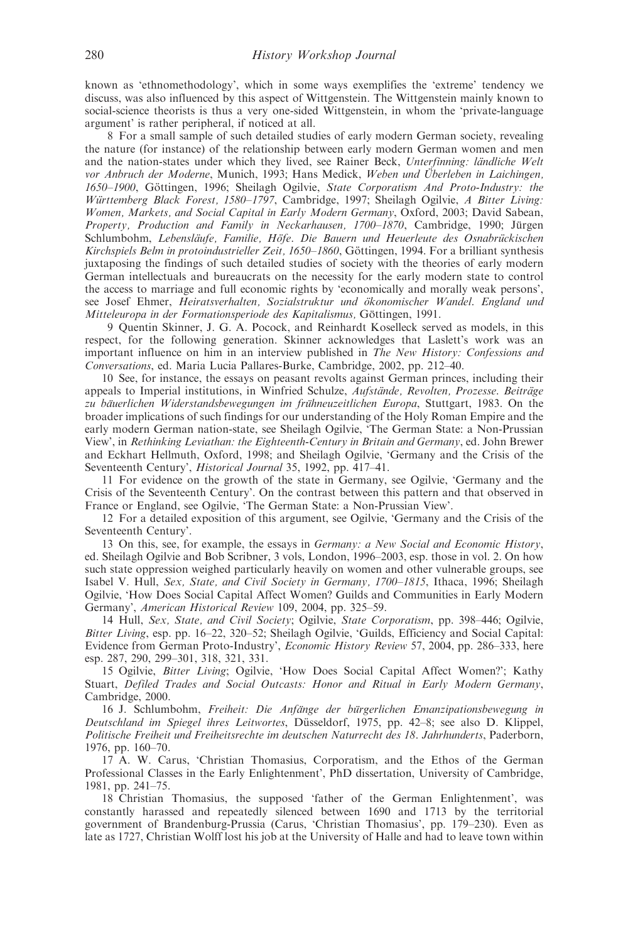known as 'ethnomethodology', which in some ways exemplifies the 'extreme' tendency we discuss, was also influenced by this aspect of Wittgenstein. The Wittgenstein mainly known to social-science theorists is thus a very one-sided Wittgenstein, in whom the 'private-language argument' is rather peripheral, if noticed at all.

8 For a small sample of such detailed studies of early modern German society, revealing the nature (for instance) of the relationship between early modern German women and men and the nation-states under which they lived, see Rainer Beck, Unterfinning: ländliche Welt vor Anbruch der Moderne, Munich, 1993; Hans Medick, Weben und Überleben in Laichingen, 1650–1900, Göttingen, 1996; Sheilagh Ogilvie, State Corporatism And Proto-Industry: the Württemberg Black Forest, 1580-1797, Cambridge, 1997; Sheilagh Ogilvie, A Bitter Living: Women, Markets, and Social Capital in Early Modern Germany, Oxford, 2003; David Sabean, Property, Production and Family in Neckarhausen, 1700–1870, Cambridge, 1990; Jürgen Schlumbohm, Lebensläufe, Familie, Höfe. Die Bauern und Heuerleute des Osnabrückischen Kirchspiels Belm in protoindustrieller Zeit, 1650–1860, Göttingen, 1994. For a brilliant synthesis juxtaposing the findings of such detailed studies of society with the theories of early modern German intellectuals and bureaucrats on the necessity for the early modern state to control the access to marriage and full economic rights by 'economically and morally weak persons', see Josef Ehmer, Heiratsverhalten, Sozialstruktur und ökonomischer Wandel. England und Mitteleuropa in der Formationsperiode des Kapitalismus, Göttingen, 1991.

9 Quentin Skinner, J. G. A. Pocock, and Reinhardt Koselleck served as models, in this respect, for the following generation. Skinner acknowledges that Laslett's work was an important influence on him in an interview published in The New History: Confessions and Conversations, ed. Maria Lucia Pallares-Burke, Cambridge, 2002, pp. 212–40.

10 See, for instance, the essays on peasant revolts against German princes, including their appeals to Imperial institutions, in Winfried Schulze, Aufstände, Revolten, Prozesse. Beiträge zu bäuerlichen Widerstandsbewegungen im frühneuzeitlichen Europa, Stuttgart, 1983. On the broader implications of such findings for our understanding of the Holy Roman Empire and the early modern German nation-state, see Sheilagh Ogilvie, 'The German State: a Non-Prussian View', in Rethinking Leviathan: the Eighteenth-Century in Britain and Germany, ed. John Brewer and Eckhart Hellmuth, Oxford, 1998; and Sheilagh Ogilvie, 'Germany and the Crisis of the Seventeenth Century', Historical Journal 35, 1992, pp. 417–41.

11 For evidence on the growth of the state in Germany, see Ogilvie, 'Germany and the Crisis of the Seventeenth Century'. On the contrast between this pattern and that observed in France or England, see Ogilvie, 'The German State: a Non-Prussian View'.

12 For a detailed exposition of this argument, see Ogilvie, 'Germany and the Crisis of the Seventeenth Century'.

13 On this, see, for example, the essays in Germany: a New Social and Economic History, ed. Sheilagh Ogilvie and Bob Scribner, 3 vols, London, 1996–2003, esp. those in vol. 2. On how such state oppression weighed particularly heavily on women and other vulnerable groups, see Isabel V. Hull, Sex, State, and Civil Society in Germany, 1700–1815, Ithaca, 1996; Sheilagh Ogilvie, 'How Does Social Capital Affect Women? Guilds and Communities in Early Modern Germany', American Historical Review 109, 2004, pp. 325–59.

14 Hull, Sex, State, and Civil Society; Ogilvie, State Corporatism, pp. 398–446; Ogilvie, Bitter Living, esp. pp. 16–22, 320–52; Sheilagh Ogilvie, 'Guilds, Efficiency and Social Capital: Evidence from German Proto-Industry', Economic History Review 57, 2004, pp. 286–333, here esp. 287, 290, 299–301, 318, 321, 331.

15 Ogilvie, Bitter Living; Ogilvie, 'How Does Social Capital Affect Women?'; Kathy Stuart, Defiled Trades and Social Outcasts: Honor and Ritual in Early Modern Germany, Cambridge, 2000.

16 J. Schlumbohm, Freiheit: Die Anfänge der bürgerlichen Emanzipationsbewegung in Deutschland im Spiegel ihres Leitwortes, Düsseldorf, 1975, pp. 42–8; see also D. Klippel, Politische Freiheit und Freiheitsrechte im deutschen Naturrecht des 18. Jahrhunderts, Paderborn, 1976, pp. 160–70.

17 A. W. Carus, 'Christian Thomasius, Corporatism, and the Ethos of the German Professional Classes in the Early Enlightenment', PhD dissertation, University of Cambridge, 1981, pp. 241–75.

18 Christian Thomasius, the supposed 'father of the German Enlightenment', was constantly harassed and repeatedly silenced between 1690 and 1713 by the territorial government of Brandenburg-Prussia (Carus, 'Christian Thomasius', pp. 179–230). Even as late as 1727, Christian Wolff lost his job at the University of Halle and had to leave town within